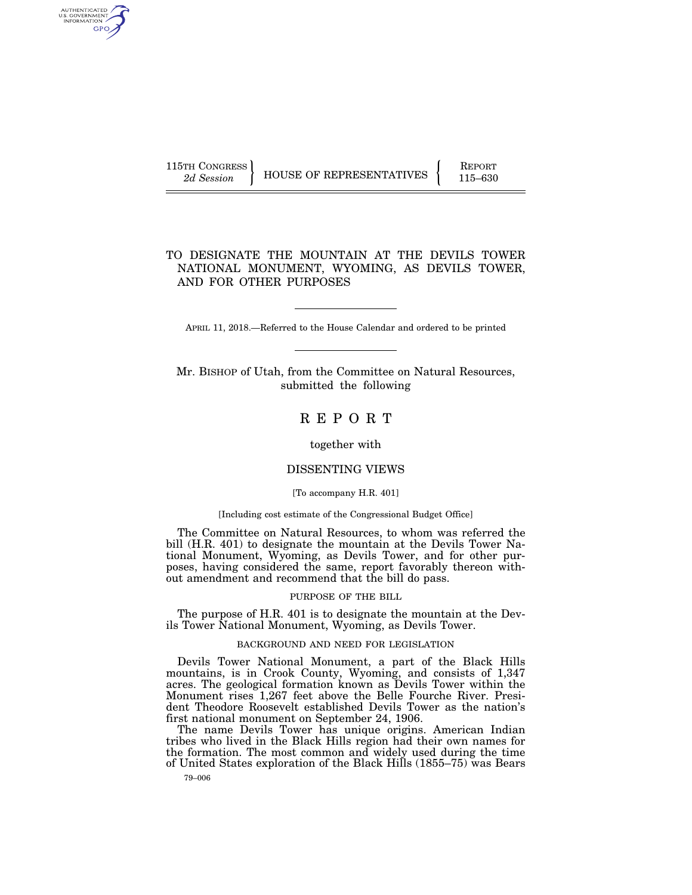AUTHENTICATED U.S. GOVERNMENT GPO

115TH CONGRESS HOUSE OF REPRESENTATIVES FEPORT 115–630

## TO DESIGNATE THE MOUNTAIN AT THE DEVILS TOWER NATIONAL MONUMENT, WYOMING, AS DEVILS TOWER, AND FOR OTHER PURPOSES

APRIL 11, 2018.—Referred to the House Calendar and ordered to be printed

Mr. BISHOP of Utah, from the Committee on Natural Resources, submitted the following

# R E P O R T

## together with

## DISSENTING VIEWS

### [To accompany H.R. 401]

#### [Including cost estimate of the Congressional Budget Office]

The Committee on Natural Resources, to whom was referred the bill (H.R. 401) to designate the mountain at the Devils Tower National Monument, Wyoming, as Devils Tower, and for other purposes, having considered the same, report favorably thereon without amendment and recommend that the bill do pass.

#### PURPOSE OF THE BILL

The purpose of H.R. 401 is to designate the mountain at the Devils Tower National Monument, Wyoming, as Devils Tower.

#### BACKGROUND AND NEED FOR LEGISLATION

Devils Tower National Monument, a part of the Black Hills mountains, is in Crook County, Wyoming, and consists of 1,347 acres. The geological formation known as Devils Tower within the Monument rises 1,267 feet above the Belle Fourche River. President Theodore Roosevelt established Devils Tower as the nation's first national monument on September 24, 1906.

The name Devils Tower has unique origins. American Indian tribes who lived in the Black Hills region had their own names for the formation. The most common and widely used during the time of United States exploration of the Black Hills (1855–75) was Bears

79–006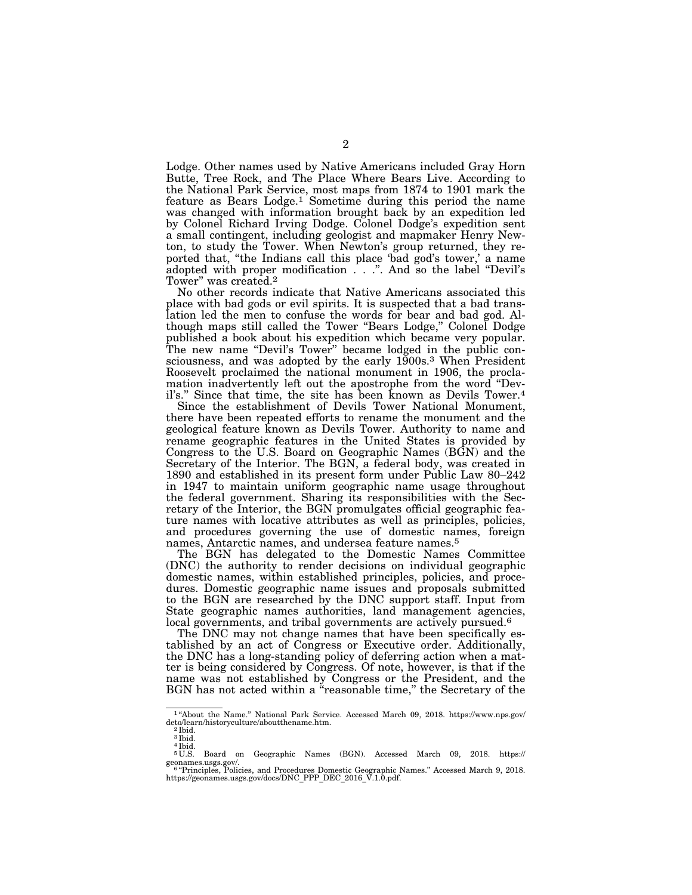Lodge. Other names used by Native Americans included Gray Horn Butte, Tree Rock, and The Place Where Bears Live. According to the National Park Service, most maps from 1874 to 1901 mark the feature as Bears Lodge.<sup>1</sup> Sometime during this period the name was changed with information brought back by an expedition led by Colonel Richard Irving Dodge. Colonel Dodge's expedition sent a small contingent, including geologist and mapmaker Henry Newton, to study the Tower. When Newton's group returned, they reported that, ''the Indians call this place 'bad god's tower,' a name adopted with proper modification . . .". And so the label "Devil's Tower'' was created.2

No other records indicate that Native Americans associated this place with bad gods or evil spirits. It is suspected that a bad translation led the men to confuse the words for bear and bad god. Although maps still called the Tower ''Bears Lodge,'' Colonel Dodge published a book about his expedition which became very popular. The new name "Devil's Tower" became lodged in the public consciousness, and was adopted by the early  $1\overline{9}00s$ .<sup>3</sup> When President Roosevelt proclaimed the national monument in 1906, the proclamation inadvertently left out the apostrophe from the word ''Devil's.'' Since that time, the site has been known as Devils Tower.4

Since the establishment of Devils Tower National Monument, there have been repeated efforts to rename the monument and the geological feature known as Devils Tower. Authority to name and rename geographic features in the United States is provided by Congress to the U.S. Board on Geographic Names (BGN) and the Secretary of the Interior. The BGN, a federal body, was created in 1890 and established in its present form under Public Law 80–242 in 1947 to maintain uniform geographic name usage throughout the federal government. Sharing its responsibilities with the Secretary of the Interior, the BGN promulgates official geographic feature names with locative attributes as well as principles, policies, and procedures governing the use of domestic names, foreign names, Antarctic names, and undersea feature names.5

The BGN has delegated to the Domestic Names Committee (DNC) the authority to render decisions on individual geographic domestic names, within established principles, policies, and procedures. Domestic geographic name issues and proposals submitted to the BGN are researched by the DNC support staff. Input from State geographic names authorities, land management agencies, local governments, and tribal governments are actively pursued.<sup>6</sup>

The DNC may not change names that have been specifically established by an act of Congress or Executive order. Additionally, the DNC has a long-standing policy of deferring action when a matter is being considered by Congress. Of note, however, is that if the name was not established by Congress or the President, and the BGN has not acted within a "reasonable time," the Secretary of the

<sup>1</sup> ''About the Name.'' National Park Service. Accessed March 09, 2018. https://www.nps.gov/ deto/learn/historyculture/aboutthename.htm. <sup>2</sup> Ibid.

<sup>3</sup> Ibid. 4 Ibid.

<sup>5</sup> U.S. Board on Geographic Names (BGN). Accessed March 09, 2018. https://

geonames.usgs.gov/.<br>- <sup>6 </sup>'Principles, Policies, and Procedures Domestic Geographic Names.'' Accessed March 9, 2018.<br>https://geonames.usgs.gov/docs/DNC\_PPP\_DEC\_2016\_V.1.0.pdf.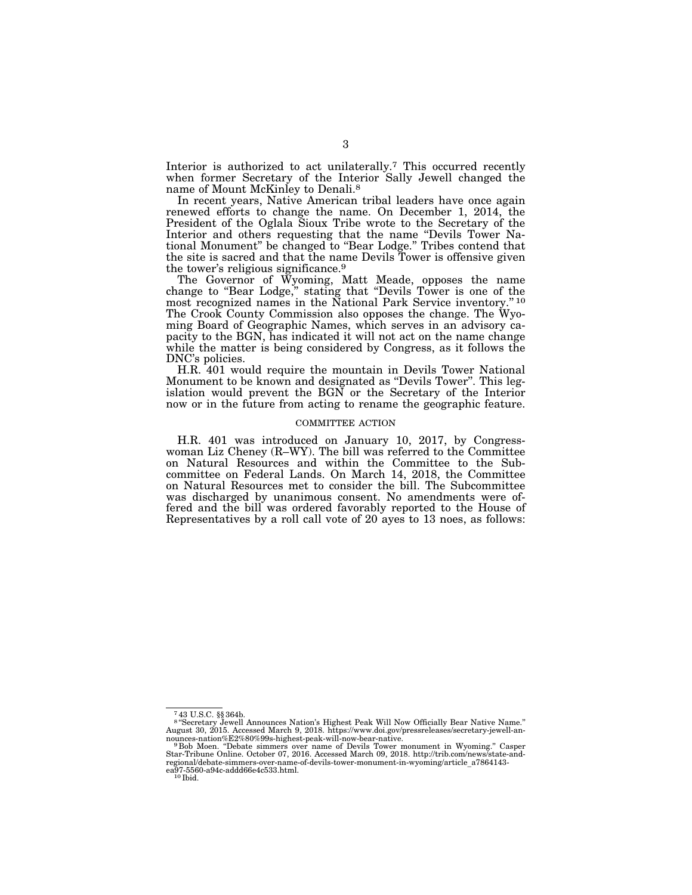Interior is authorized to act unilaterally.<sup>7</sup> This occurred recently when former Secretary of the Interior Sally Jewell changed the name of Mount McKinley to Denali.8

In recent years, Native American tribal leaders have once again renewed efforts to change the name. On December 1, 2014, the President of the Oglala Sioux Tribe wrote to the Secretary of the Interior and others requesting that the name "Devils Tower National Monument'' be changed to ''Bear Lodge.'' Tribes contend that the site is sacred and that the name Devils Tower is offensive given the tower's religious significance.<sup>9</sup>

The Governor of Wyoming, Matt Meade, opposes the name change to ''Bear Lodge,'' stating that ''Devils Tower is one of the most recognized names in the National Park Service inventory.'' 10 The Crook County Commission also opposes the change. The Wyoming Board of Geographic Names, which serves in an advisory capacity to the BGN, has indicated it will not act on the name change while the matter is being considered by Congress, as it follows the DNC's policies.

H.R. 401 would require the mountain in Devils Tower National Monument to be known and designated as ''Devils Tower''. This legislation would prevent the BGN or the Secretary of the Interior now or in the future from acting to rename the geographic feature.

#### COMMITTEE ACTION

H.R. 401 was introduced on January 10, 2017, by Congresswoman Liz Cheney (R–WY). The bill was referred to the Committee on Natural Resources and within the Committee to the Subcommittee on Federal Lands. On March 14, 2018, the Committee on Natural Resources met to consider the bill. The Subcommittee was discharged by unanimous consent. No amendments were offered and the bill was ordered favorably reported to the House of Representatives by a roll call vote of 20 ayes to 13 noes, as follows:

<sup>&</sup>lt;sup>7</sup> 43 U.S.C. §§ 364b.<br><sup>8</sup> "Secretary Jewell Announces Nation's Highest Peak Will Now Officially Bear Native Name." August 30, 2015. Accessed March 9, 2018. https://www.doi.gov/pressreleases/secretary-jewell-an-

nounces-nation%E2%80%99s-highest-peak-will-now-bear-native. 9 Bob Moen. ''Debate simmers over name of Devils Tower monument in Wyoming.'' Casper Star-Tribune Online. October 07, 2016. Accessed March 09, 2018. http://trib.com/news/state-andregional/debate-simmers-over-name-of-devils-tower-monument-in-wyoming/article\_a7864143-<br>ea97-5560-a94c-addd66e4c533.html.<br>10 Ibid.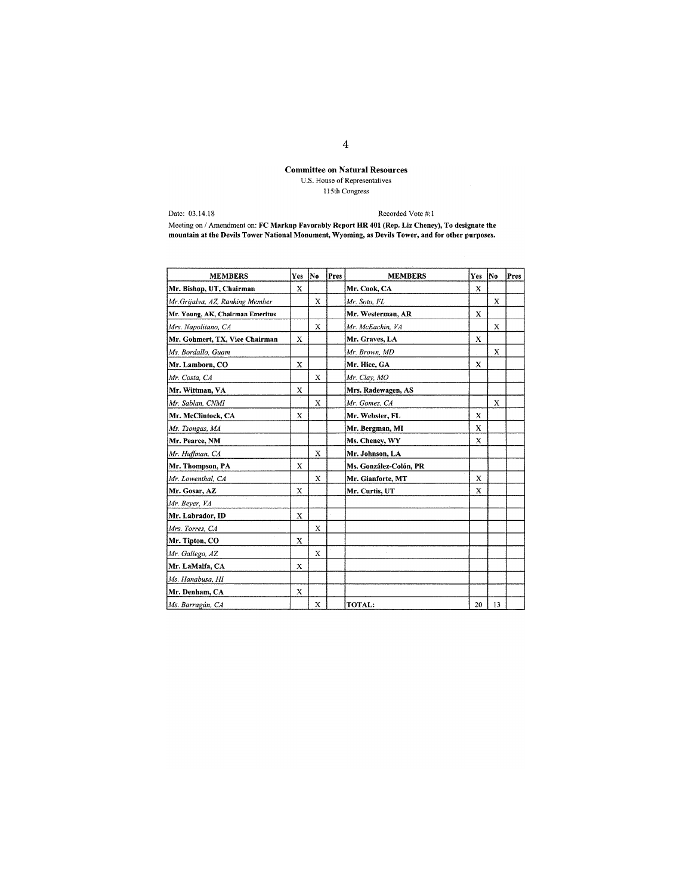## **Committee on Natural Resources** U.S. House of Representatives 115th Congress

Date: 03.14.18 Recorded Vote #:1 Meeting on / Amendment on: FC Markup Favorably Report HR 401 (Rep. Liz Cheney), To designate the mountain at the Devils Tower National Monument, Wyoming, as Devils Tower, and for other purposes.

| <b>MEMBERS</b>                   | <b>Yes</b>   | No          | Pres | <b>MEMBERS</b>         | Yes         | No | Pres |
|----------------------------------|--------------|-------------|------|------------------------|-------------|----|------|
| Mr. Bishop, UT, Chairman         | X            |             |      | Mr. Cook, CA           | $\mathbf x$ |    |      |
| Mr. Grijalva, AZ, Ranking Member |              | $\bf{X}$    |      | Mr. Soto, FL           |             | X  |      |
| Mr. Young, AK, Chairman Emeritus |              |             |      | Mr. Westerman, AR      | X           |    |      |
| Mrs. Napolitano, CA              |              | X           |      | Mr. McEachin, VA       |             | X  |      |
| Mr. Gohmert, TX, Vice Chairman   | X            |             |      | Mr. Graves, LA         | X           |    |      |
| Ms. Bordallo, Guam               |              |             |      | Mr. Brown, MD          |             | X  |      |
| Mr. Lamborn, CO                  | $\mathbf x$  |             |      | Mr. Hice, GA           | $\bf{X}$    |    |      |
| Mr. Costa, CA                    |              | X           |      | Mr. Clay, MO           |             |    |      |
| Mr. Wittman, VA                  | X            |             |      | Mrs. Radewagen, AS     |             |    |      |
| Mr. Sablan. CNMI                 |              | X           |      | Mr. Gomez, CA          |             | X  |      |
| Mr. McClintock, CA               | $\mathbf x$  |             |      | Mr. Webster, FL        | X           |    |      |
| Ms. Tsongas, MA                  |              |             |      | Mr. Bergman, MI        | X           |    |      |
| Mr. Pearce, NM                   |              |             |      | Ms. Cheney, WY         | X           |    |      |
| Mr. Huffman, CA                  |              | $\mathbf x$ |      | Mr. Johnson, LA        |             |    |      |
| Mr. Thompson, PA                 | $\mathbf{x}$ |             |      | Ms. González-Colón, PR |             |    |      |
| Mr. Lowenthal, CA                |              | X           |      | Mr. Gianforte, MT      | X           |    |      |
| Mr. Gosar, AZ                    | X            |             |      | Mr. Curtis, UT         | X           |    |      |
| Mr. Beyer, VA                    |              |             |      |                        |             |    |      |
| Mr. Labrador, ID                 | X            |             |      |                        |             |    |      |
| Mrs. Torres. CA                  |              | X           |      |                        |             |    |      |
| Mr. Tipton, CO                   | X            |             |      |                        |             |    |      |
| Mr. Gallego, AZ                  |              | $\mathbf x$ |      |                        |             |    |      |
| Mr. LaMalfa, CA                  | $\mathbf x$  |             |      |                        |             |    |      |
| Ms. Hanabusa, HI                 |              |             |      |                        |             |    |      |
| Mr. Denham, CA                   | X            |             |      |                        |             |    |      |
| Ms. Barragán, CA                 |              | X           |      | <b>TOTAL:</b>          | 20          | 13 |      |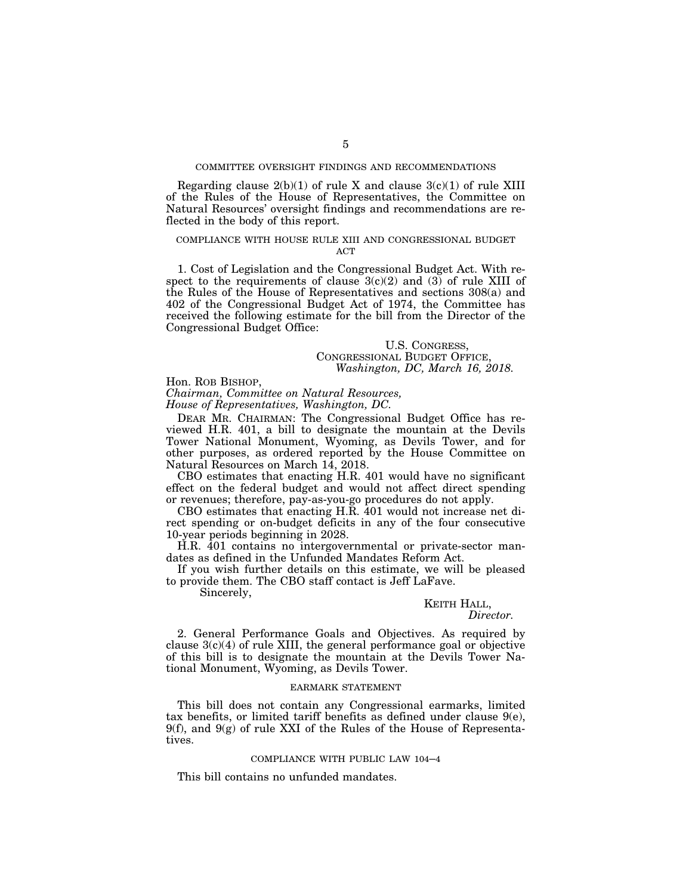## COMMITTEE OVERSIGHT FINDINGS AND RECOMMENDATIONS

Regarding clause  $2(b)(1)$  of rule X and clause  $3(c)(1)$  of rule XIII of the Rules of the House of Representatives, the Committee on Natural Resources' oversight findings and recommendations are reflected in the body of this report.

## COMPLIANCE WITH HOUSE RULE XIII AND CONGRESSIONAL BUDGET ACT

1. Cost of Legislation and the Congressional Budget Act. With respect to the requirements of clause  $3(c)(2)$  and  $(3)$  of rule XIII of the Rules of the House of Representatives and sections 308(a) and 402 of the Congressional Budget Act of 1974, the Committee has received the following estimate for the bill from the Director of the Congressional Budget Office:

## U.S. CONGRESS, CONGRESSIONAL BUDGET OFFICE, *Washington, DC, March 16, 2018.*

#### Hon. ROB BISHOP,

*Chairman, Committee on Natural Resources, House of Representatives, Washington, DC.* 

DEAR MR. CHAIRMAN: The Congressional Budget Office has reviewed H.R. 401, a bill to designate the mountain at the Devils Tower National Monument, Wyoming, as Devils Tower, and for other purposes, as ordered reported by the House Committee on Natural Resources on March 14, 2018.

CBO estimates that enacting H.R. 401 would have no significant effect on the federal budget and would not affect direct spending or revenues; therefore, pay-as-you-go procedures do not apply.

CBO estimates that enacting H.R. 401 would not increase net direct spending or on-budget deficits in any of the four consecutive 10-year periods beginning in 2028.

H.R. 401 contains no intergovernmental or private-sector mandates as defined in the Unfunded Mandates Reform Act.

If you wish further details on this estimate, we will be pleased to provide them. The CBO staff contact is Jeff LaFave.

Sincerely,

# KEITH HALL, *Director.*

2. General Performance Goals and Objectives. As required by clause  $3(c)(4)$  of rule XIII, the general performance goal or objective of this bill is to designate the mountain at the Devils Tower National Monument, Wyoming, as Devils Tower.

## EARMARK STATEMENT

This bill does not contain any Congressional earmarks, limited tax benefits, or limited tariff benefits as defined under clause 9(e),  $9(f)$ , and  $9(g)$  of rule XXI of the Rules of the House of Representatives.

### COMPLIANCE WITH PUBLIC LAW 104–4

This bill contains no unfunded mandates.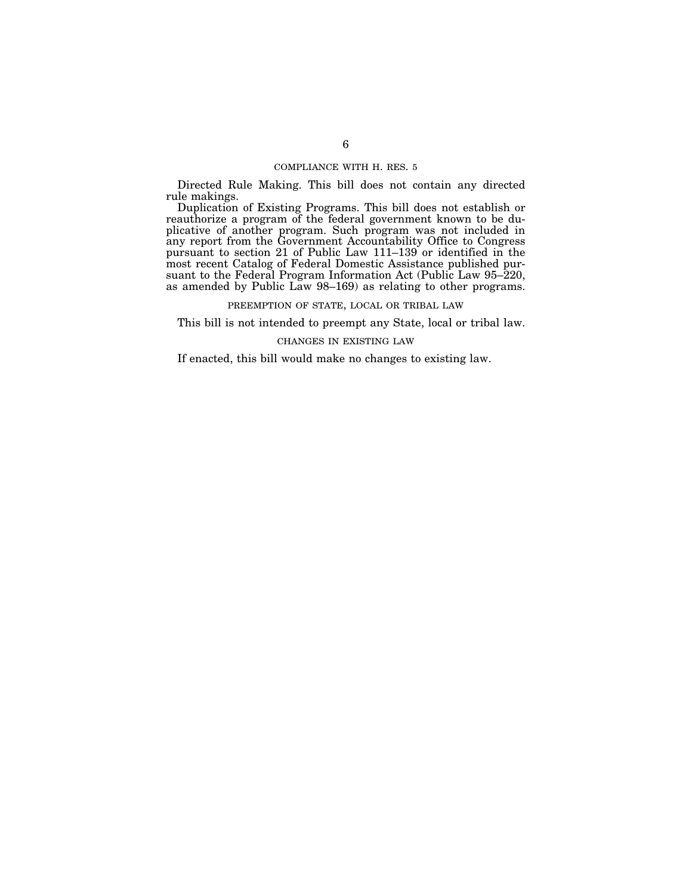## COMPLIANCE WITH H. RES. 5

Directed Rule Making. This bill does not contain any directed rule makings.

Duplication of Existing Programs. This bill does not establish or reauthorize a program of the federal government known to be duplicative of another program. Such program was not included in any report from the Government Accountability Office to Congress pursuant to section 21 of Public Law 111–139 or identified in the most recent Catalog of Federal Domestic Assistance published pursuant to the Federal Program Information Act (Public Law 95–220, as amended by Public Law 98–169) as relating to other programs.

## PREEMPTION OF STATE, LOCAL OR TRIBAL LAW

This bill is not intended to preempt any State, local or tribal law.

## CHANGES IN EXISTING LAW

If enacted, this bill would make no changes to existing law.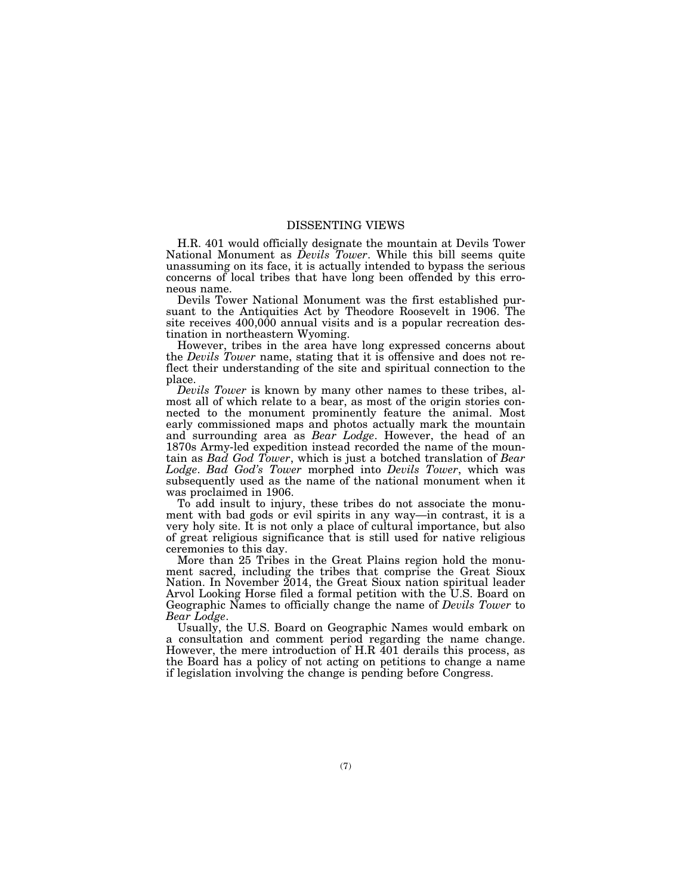## DISSENTING VIEWS

H.R. 401 would officially designate the mountain at Devils Tower National Monument as *Devils Tower*. While this bill seems quite unassuming on its face, it is actually intended to bypass the serious concerns of local tribes that have long been offended by this erroneous name.

Devils Tower National Monument was the first established pursuant to the Antiquities Act by Theodore Roosevelt in 1906. The site receives 400,000 annual visits and is a popular recreation destination in northeastern Wyoming.

However, tribes in the area have long expressed concerns about the *Devils Tower* name, stating that it is offensive and does not reflect their understanding of the site and spiritual connection to the place.

*Devils Tower* is known by many other names to these tribes, almost all of which relate to a bear, as most of the origin stories connected to the monument prominently feature the animal. Most early commissioned maps and photos actually mark the mountain and surrounding area as *Bear Lodge*. However, the head of an 1870s Army-led expedition instead recorded the name of the mountain as *Bad God Tower*, which is just a botched translation of *Bear Lodge*. *Bad God's Tower* morphed into *Devils Tower*, which was subsequently used as the name of the national monument when it was proclaimed in 1906.

To add insult to injury, these tribes do not associate the monument with bad gods or evil spirits in any way—in contrast, it is a very holy site. It is not only a place of cultural importance, but also of great religious significance that is still used for native religious ceremonies to this day.

More than 25 Tribes in the Great Plains region hold the monument sacred, including the tribes that comprise the Great Sioux Nation. In November  $2014$ , the Great Sioux nation spiritual leader Arvol Looking Horse filed a formal petition with the U.S. Board on Geographic Names to officially change the name of *Devils Tower* to *Bear Lodge*. Usually, the U.S. Board on Geographic Names would embark on

a consultation and comment period regarding the name change. However, the mere introduction of H.R 401 derails this process, as the Board has a policy of not acting on petitions to change a name if legislation involving the change is pending before Congress.